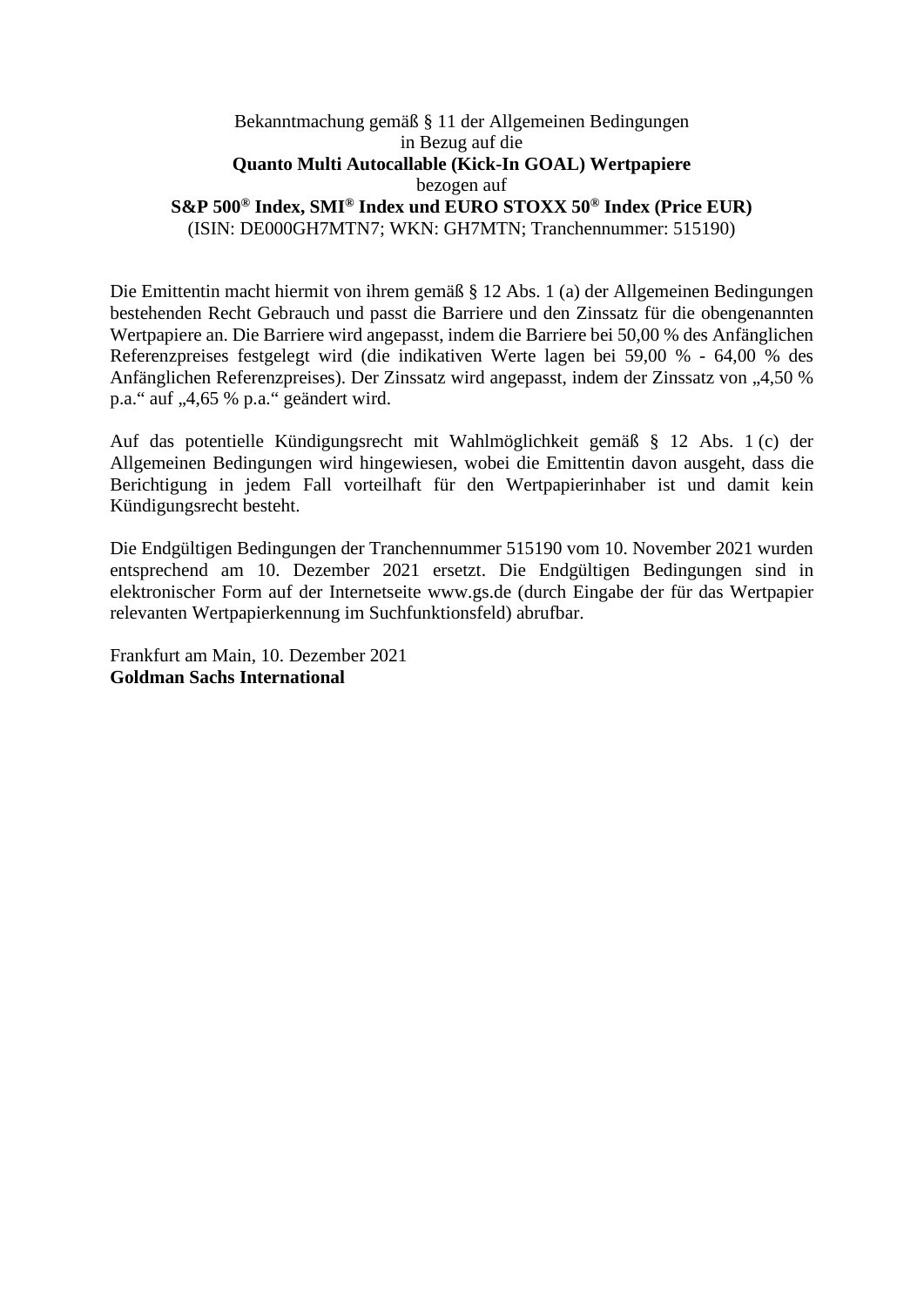## Bekanntmachung gemäß § 11 der Allgemeinen Bedingungen in Bezug auf die **Quanto Multi Autocallable (Kick-In GOAL) Wertpapiere**  bezogen auf **S&P 500® Index, SMI® Index und EURO STOXX 50® Index (Price EUR)**  (ISIN: DE000GH7MTN7; WKN: GH7MTN; Tranchennummer: 515190)

Die Emittentin macht hiermit von ihrem gemäß § 12 Abs. 1 (a) der Allgemeinen Bedingungen bestehenden Recht Gebrauch und passt die Barriere und den Zinssatz für die obengenannten Wertpapiere an. Die Barriere wird angepasst, indem die Barriere bei 50,00 % des Anfänglichen Referenzpreises festgelegt wird (die indikativen Werte lagen bei 59,00 % - 64,00 % des Anfänglichen Referenzpreises). Der Zinssatz wird angepasst, indem der Zinssatz von "4,50 % p.a." auf "4,65 % p.a." geändert wird.

Auf das potentielle Kündigungsrecht mit Wahlmöglichkeit gemäß § 12 Abs. 1 (c) der Allgemeinen Bedingungen wird hingewiesen, wobei die Emittentin davon ausgeht, dass die Berichtigung in jedem Fall vorteilhaft für den Wertpapierinhaber ist und damit kein Kündigungsrecht besteht.

Die Endgültigen Bedingungen der Tranchennummer 515190 vom 10. November 2021 wurden entsprechend am 10. Dezember 2021 ersetzt. Die Endgültigen Bedingungen sind in elektronischer Form auf der Internetseite www.gs.de (durch Eingabe der für das Wertpapier relevanten Wertpapierkennung im Suchfunktionsfeld) abrufbar.

Frankfurt am Main, 10. Dezember 2021 **Goldman Sachs International**